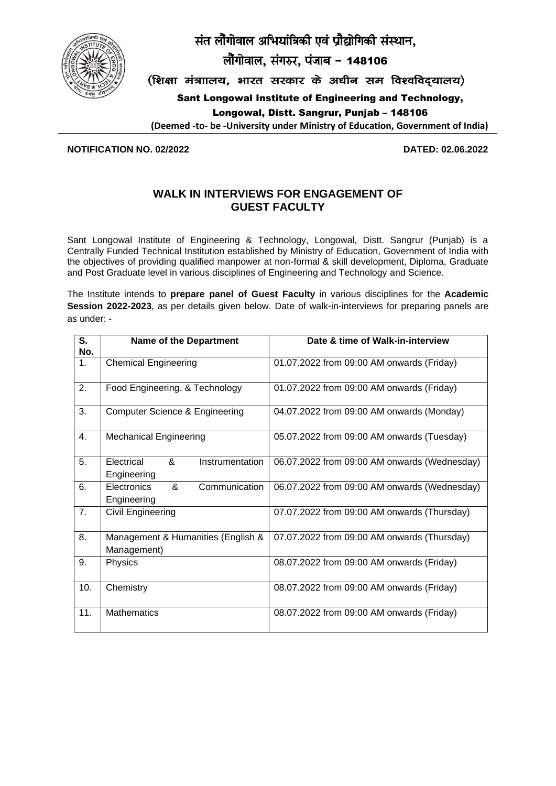

संत लौंगोवाल अभियांत्रिकी एवं प्रौद्योगिकी संस्थान,

लौगोवाल, संगरुर, पंजाब - 148106

(शिक्षा मंत्राालय, भारत सरकार के अधीन सम विश्वविदयालय)

Sant Longowal Institute of Engineering and Technology,

Longowal, Distt. Sangrur, Punjab – 148106

**(Deemed -to- be -University under Ministry of Education, Government of India)**

**NOTIFICATION NO. 02/2022 DATED: 02.06.2022**

# **WALK IN INTERVIEWS FOR ENGAGEMENT OF GUEST FACULTY**

Sant Longowal Institute of Engineering & Technology, Longowal, Distt. Sangrur (Punjab) is a Centrally Funded Technical Institution established by Ministry of Education, Government of India with the objectives of providing qualified manpower at non-formal & skill development, Diploma, Graduate and Post Graduate level in various disciplines of Engineering and Technology and Science.

The Institute intends to **prepare panel of Guest Faculty** in various disciplines for the **Academic Session 2022-2023**, as per details given below. Date of walk-in-interviews for preparing panels are as under: -

| $\overline{\mathsf{s}}$ .<br>No. | <b>Name of the Department</b>                     | Date & time of Walk-in-interview             |
|----------------------------------|---------------------------------------------------|----------------------------------------------|
| $\mathbf{1}$ .                   | <b>Chemical Engineering</b>                       | 01.07.2022 from 09:00 AM onwards (Friday)    |
| 2.                               | Food Engineering. & Technology                    | 01.07.2022 from 09:00 AM onwards (Friday)    |
| 3.                               | Computer Science & Engineering                    | 04.07.2022 from 09:00 AM onwards (Monday)    |
| 4.                               | <b>Mechanical Engineering</b>                     | 05.07.2022 from 09:00 AM onwards (Tuesday)   |
| 5.                               | Electrical<br>&<br>Instrumentation<br>Engineering | 06.07.2022 from 09:00 AM onwards (Wednesday) |
| 6.                               | Electronics<br>&<br>Communication<br>Engineering  | 06.07.2022 from 09:00 AM onwards (Wednesday) |
| 7.                               | Civil Engineering                                 | 07.07.2022 from 09:00 AM onwards (Thursday)  |
| 8.                               | Management & Humanities (English &<br>Management) | 07.07.2022 from 09:00 AM onwards (Thursday)  |
| 9.                               | <b>Physics</b>                                    | 08.07.2022 from 09:00 AM onwards (Friday)    |
| 10.                              | Chemistry                                         | 08.07.2022 from 09:00 AM onwards (Friday)    |
| 11.                              | <b>Mathematics</b>                                | 08.07.2022 from 09:00 AM onwards (Friday)    |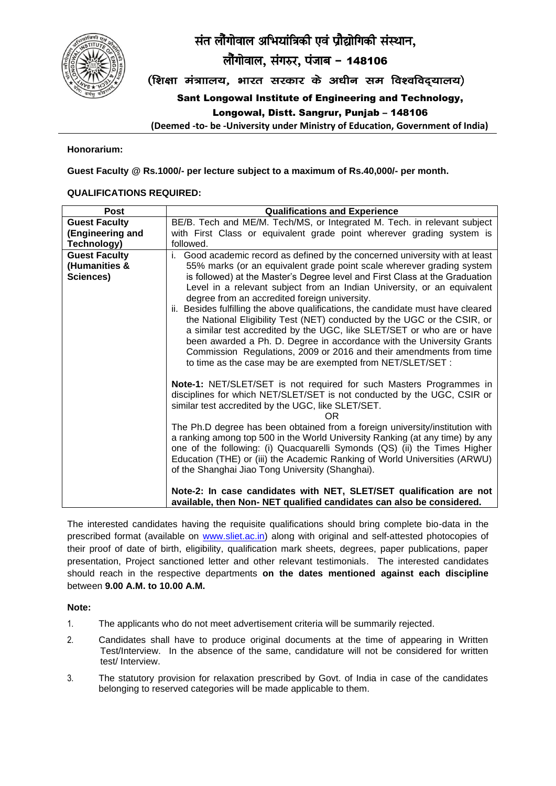



लौगोवाल, संगरुर, पंजाब - 148106

(शिक्षा मंत्राालय, भारत सरकार के अधीन सम विश्वविदयालय)

Sant Longowal Institute of Engineering and Technology,

Longowal, Distt. Sangrur, Punjab – 148106

**(Deemed -to- be -University under Ministry of Education, Government of India)**

#### **Honorarium:**

**Guest Faculty @ Rs.1000/- per lecture subject to a maximum of Rs.40,000/- per month.**

#### **QUALIFICATIONS REQUIRED:**

| <b>Post</b>          | <b>Qualifications and Experience</b>                                                                                                                         |
|----------------------|--------------------------------------------------------------------------------------------------------------------------------------------------------------|
| <b>Guest Faculty</b> | BE/B. Tech and ME/M. Tech/MS, or Integrated M. Tech. in relevant subject                                                                                     |
| (Engineering and     | with First Class or equivalent grade point wherever grading system is                                                                                        |
| Technology)          | followed.                                                                                                                                                    |
| <b>Guest Faculty</b> | Good academic record as defined by the concerned university with at least                                                                                    |
| (Humanities &        | 55% marks (or an equivalent grade point scale wherever grading system                                                                                        |
| Sciences)            | is followed) at the Master's Degree level and First Class at the Graduation                                                                                  |
|                      | Level in a relevant subject from an Indian University, or an equivalent<br>degree from an accredited foreign university.                                     |
|                      | ii. Besides fulfilling the above qualifications, the candidate must have cleared<br>the National Eligibility Test (NET) conducted by the UGC or the CSIR, or |
|                      | a similar test accredited by the UGC, like SLET/SET or who are or have                                                                                       |
|                      | been awarded a Ph. D. Degree in accordance with the University Grants                                                                                        |
|                      | Commission Regulations, 2009 or 2016 and their amendments from time                                                                                          |
|                      | to time as the case may be are exempted from NET/SLET/SET :                                                                                                  |
|                      | Note-1: NET/SLET/SET is not required for such Masters Programmes in<br>disciplines for which NET/SLET/SET is not conducted by the UGC, CSIR or               |
|                      | similar test accredited by the UGC, like SLET/SET.                                                                                                           |
|                      | OR                                                                                                                                                           |
|                      | The Ph.D degree has been obtained from a foreign university/institution with<br>a ranking among top 500 in the World University Ranking (at any time) by any |
|                      | one of the following: (i) Quacquarelli Symonds (QS) (ii) the Times Higher                                                                                    |
|                      | Education (THE) or (iii) the Academic Ranking of World Universities (ARWU)<br>of the Shanghai Jiao Tong University (Shanghai).                               |
|                      | Note-2: In case candidates with NET, SLET/SET qualification are not                                                                                          |
|                      | available, then Non-NET qualified candidates can also be considered.                                                                                         |

The interested candidates having the requisite qualifications should bring complete bio-data in the prescribed format (available on [www.sliet.ac.in\)](http://www.sliet.ac.in/) along with original and self-attested photocopies of their proof of date of birth, eligibility, qualification mark sheets, degrees, paper publications, paper presentation, Project sanctioned letter and other relevant testimonials. The interested candidates should reach in the respective departments **on the dates mentioned against each discipline**  between **9.00 A.M. to 10.00 A.M.**

#### **Note:**

- 1. The applicants who do not meet advertisement criteria will be summarily rejected.
- 2. Candidates shall have to produce original documents at the time of appearing in Written Test/Interview. In the absence of the same, candidature will not be considered for written test/ Interview.
- 3. The statutory provision for relaxation prescribed by Govt. of India in case of the candidates belonging to reserved categories will be made applicable to them.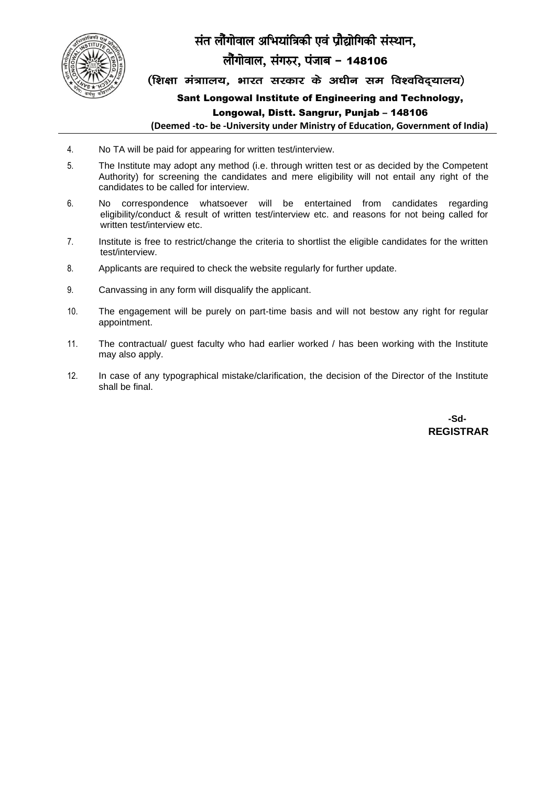

# संत लौगोवाल अभियांत्रिकी एवं प्रौद्योगिकी संस्थान,

# लौगोवाल, संगरुर, पंजाब - 148106

(शिक्षा मंत्राालय, भारत सरकार के अधीन सम विश्वविदयालय)

Sant Longowal Institute of Engineering and Technology,

#### Longowal, Distt. Sangrur, Punjab – 148106

**(Deemed -to- be -University under Ministry of Education, Government of India)**

- 4. No TA will be paid for appearing for written test/interview.
- 5. The Institute may adopt any method (i.e. through written test or as decided by the Competent Authority) for screening the candidates and mere eligibility will not entail any right of the candidates to be called for interview.
- 6. No correspondence whatsoever will be entertained from candidates regarding eligibility/conduct & result of written test/interview etc. and reasons for not being called for written test/interview etc.
- 7. Institute is free to restrict/change the criteria to shortlist the eligible candidates for the written test/interview.
- 8. Applicants are required to check the website regularly for further update.
- 9. Canvassing in any form will disqualify the applicant.
- 10. The engagement will be purely on part-time basis and will not bestow any right for regular appointment.
- 11. The contractual/ guest faculty who had earlier worked / has been working with the Institute may also apply.
- 12. In case of any typographical mistake/clarification, the decision of the Director of the Institute shall be final.

**-Sd- REGISTRAR**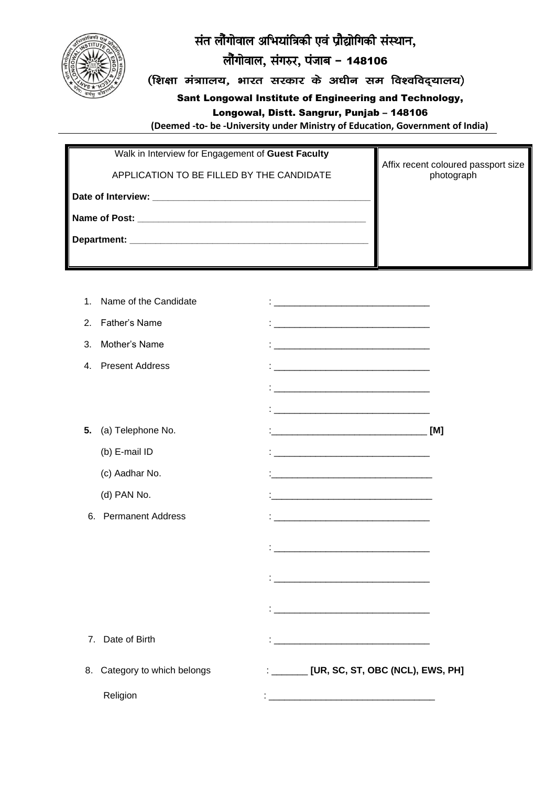

# संत लौंगोवाल अभियांत्रिकी एवं प्रौद्योगिकी संस्थान,

# लौंगोवाल, संगरुर, पंजाब - 148106

(शिक्षा मंत्राालय, भारत सरकार के अधीन सम विश्वविद्यालय)

Sant Longowal Institute of Engineering and Technology,

## Longowal, Distt. Sangrur, Punjab - 148106

(Deemed -to- be -University under Ministry of Education, Government of India)

| Walk in Interview for Engagement of Guest Faculty |                                                   |
|---------------------------------------------------|---------------------------------------------------|
| APPLICATION TO BE FILLED BY THE CANDIDATE         | Affix recent coloured passport size<br>photograph |
|                                                   |                                                   |
| Name of Post:                                     |                                                   |
|                                                   |                                                   |
|                                                   |                                                   |

| : _______ [UR, SC, ST, OBC (NCL), EWS, PH]                                                                           |
|----------------------------------------------------------------------------------------------------------------------|
| <u> 1980 - Jan Barnett, fransk kongresu i skuest og dette for de forskellige og stoffen og stoffen og stoffen og</u> |
|                                                                                                                      |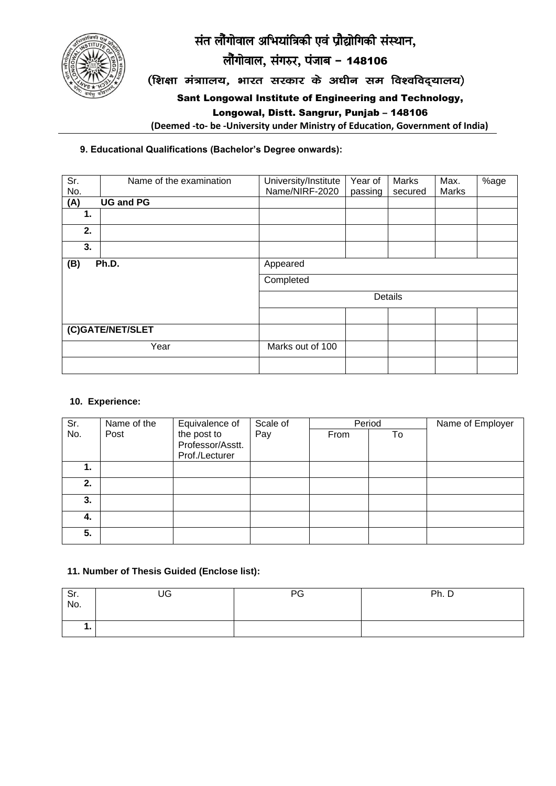



लौंगोवाल, संगरुर, पंजाब - 148106

(शिक्षा मंत्राालय, भारत सरकार के अधीन सम विश्वविद्यालय)

Sant Longowal Institute of Engineering and Technology,

Longowal, Distt. Sangrur, Punjab – 148106

**(Deemed -to- be -University under Ministry of Education, Government of India)**

### **9. Educational Qualifications (Bachelor's Degree onwards):**

| Sr.<br>No.       | Name of the examination | University/Institute<br>Name/NIRF-2020 | Year of<br>passing | Marks<br>secured | Max.<br>Marks | %age |  |
|------------------|-------------------------|----------------------------------------|--------------------|------------------|---------------|------|--|
| (A)              | <b>UG and PG</b>        |                                        |                    |                  |               |      |  |
| 1.               |                         |                                        |                    |                  |               |      |  |
| 2.               |                         |                                        |                    |                  |               |      |  |
| 3.               |                         |                                        |                    |                  |               |      |  |
| (B)<br>Ph.D.     |                         | Appeared                               |                    |                  |               |      |  |
|                  |                         | Completed                              |                    |                  |               |      |  |
|                  |                         | Details                                |                    |                  |               |      |  |
|                  |                         |                                        |                    |                  |               |      |  |
| (C)GATE/NET/SLET |                         |                                        |                    |                  |               |      |  |
|                  | Year                    | Marks out of 100                       |                    |                  |               |      |  |
|                  |                         |                                        |                    |                  |               |      |  |

#### **10. Experience:**

| Sr. | Name of the | Equivalence of   | Scale of | Period |    | Name of Employer |
|-----|-------------|------------------|----------|--------|----|------------------|
| No. | Post        | the post to      | Pay      | From   | To |                  |
|     |             | Professor/Asstt. |          |        |    |                  |
|     |             | Prof./Lecturer   |          |        |    |                  |
| 1.  |             |                  |          |        |    |                  |
| 2.  |             |                  |          |        |    |                  |
| 3.  |             |                  |          |        |    |                  |
| 4.  |             |                  |          |        |    |                  |
| 5.  |             |                  |          |        |    |                  |

### **11. Number of Thesis Guided (Enclose list):**

| Sr.<br>No. | UG | PG | Ph. D |
|------------|----|----|-------|
| . .        |    |    |       |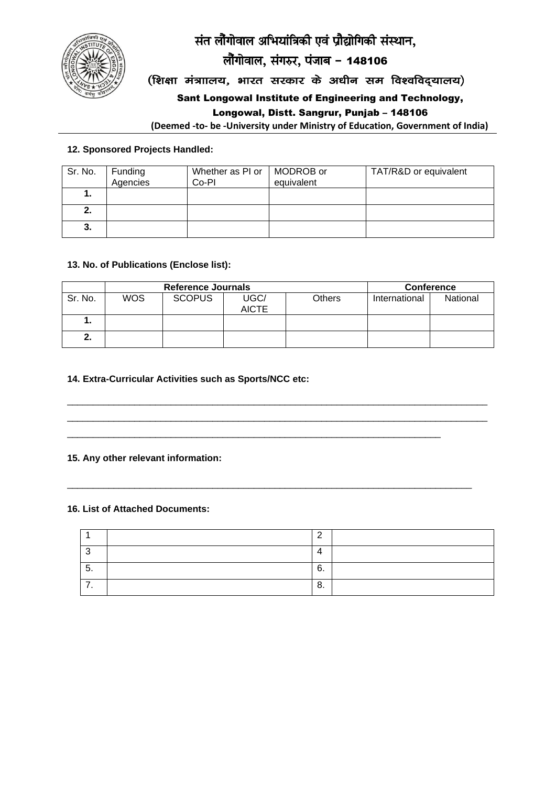संत लौंगोवाल अभियांत्रिकी एवं प्रौद्योगिकी संस्थान,



लौंगोवाल, संगरुर, पंजाब - 148106

(शिक्षा मंत्राालय, भारत सरकार के अधीन सम विश्वविद्यालय)

Sant Longowal Institute of Engineering and Technology,

#### Longowal, Distt. Sangrur, Punjab - 148106

(Deemed -to- be -University under Ministry of Education, Government of India)

#### 12. Sponsored Projects Handled:

| Sr. No. | Funding<br>Agencies | Whether as PI or<br>Co-PI | MODROB or<br>equivalent | TAT/R&D or equivalent |
|---------|---------------------|---------------------------|-------------------------|-----------------------|
|         |                     |                           |                         |                       |
| 2.      |                     |                           |                         |                       |
| 3.      |                     |                           |                         |                       |

#### 13. No. of Publications (Enclose list):

|         |            | <b>Reference Journals</b> |              |               |               | <b>Conference</b> |
|---------|------------|---------------------------|--------------|---------------|---------------|-------------------|
| Sr. No. | <b>WOS</b> | <b>SCOPUS</b>             | UGC/         | <b>Others</b> | International | National          |
|         |            |                           | <b>AICTE</b> |               |               |                   |
|         |            |                           |              |               |               |                   |
| 2.      |            |                           |              |               |               |                   |

#### 14. Extra-Curricular Activities such as Sports/NCC etc:

### 15. Any other relevant information:

#### 16. List of Attached Documents:

| $\cdot$ | ี<br>v. |  |
|---------|---------|--|
|         | ິ<br>U. |  |